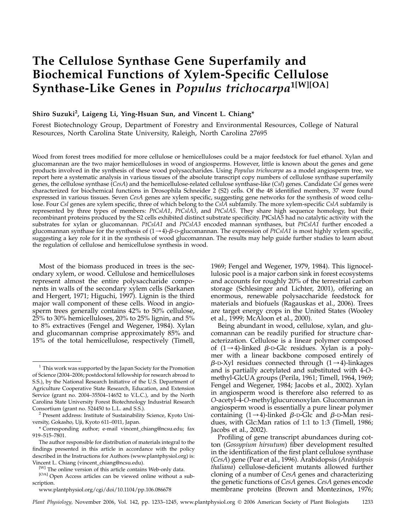# The Cellulose Synthase Gene Superfamily and Biochemical Functions of Xylem-Specific Cellulose Synthase-Like Genes in Populus trichocarpa<sup>1[W][OA]</sup>

## Shiro Suzuki<sup>2</sup>, Laigeng Li, Ying-Hsuan Sun, and Vincent L. Chiang\*

Forest Biotechnology Group, Department of Forestry and Environmental Resources, College of Natural Resources, North Carolina State University, Raleigh, North Carolina 27695

Wood from forest trees modified for more cellulose or hemicelluloses could be a major feedstock for fuel ethanol. Xylan and glucomannan are the two major hemicelluloses in wood of angiosperms. However, little is known about the genes and gene products involved in the synthesis of these wood polysaccharides. Using Populus trichocarpa as a model angiosperm tree, we report here a systematic analysis in various tissues of the absolute transcript copy numbers of cellulose synthase superfamily genes, the cellulose synthase (CesA) and the hemicellulose-related cellulose synthase-like (Csl) genes. Candidate Csl genes were characterized for biochemical functions in Drosophila Schneider 2 (S2) cells. Of the 48 identified members, 37 were found expressed in various tissues. Seven CesA genes are xylem specific, suggesting gene networks for the synthesis of wood cellulose. Four Csl genes are xylem specific, three of which belong to the CslA subfamily. The more xylem-specific CslA subfamily is represented by three types of members: PtCslA1, PtCslA3, and PtCslA5. They share high sequence homology, but their recombinant proteins produced by the S2 cells exhibited distinct substrate specificity. PtCslA5 had no catalytic activity with the substrates for xylan or glucomannan. PtCslA1 and PtCslA3 encoded mannan synthases, but PtCslA1 further encoded a glucomannan synthase for the synthesis of  $(1\rightarrow 4)$ - $\beta$ -D-glucomannan. The expression of *PtCslA1* is most highly xylem specific, suggesting a key role for it in the synthesis of wood glucomannan. The results may help guide further studies to learn about the regulation of cellulose and hemicellulose synthesis in wood.

Most of the biomass produced in trees is the secondary xylem, or wood. Cellulose and hemicelluloses represent almost the entire polysaccharide components in walls of the secondary xylem cells (Sarkanen and Hergert, 1971; Higuchi, 1997). Lignin is the third major wall component of these cells. Wood in angiosperm trees generally contains 42% to 50% cellulose, 25% to 30% hemicelluloses, 20% to 25% lignin, and 5% to 8% extractives (Fengel and Wegener, 1984). Xylan and glucomannan comprise approximately 85% and 15% of the total hemicellulose, respectively (Timell,

1969; Fengel and Wegener, 1979, 1984). This lignocellulosic pool is a major carbon sink in forest ecosystems and accounts for roughly 20% of the terrestrial carbon storage (Schlesinger and Lichter, 2001), offering an enormous, renewable polysaccharide feedstock for materials and biofuels (Ragauskas et al., 2006). Trees are target energy crops in the United States (Wooley et al., 1999; McAloon et al., 2000).

Being abundant in wood, cellulose, xylan, and glucomannan can be readily purified for structure characterization. Cellulose is a linear polymer composed of  $(1\rightarrow 4)$ -linked  $\beta$ -D-Glc residues. Xylan is a polymer with a linear backbone composed entirely of  $\beta$ -D-Xyl residues connected through (1 $\rightarrow$ 4)-linkages and is partially acetylated and substituted with 4-Omethyl-GlcUA groups (Perila, 1961; Timell, 1964, 1969; Fengel and Wegener, 1984; Jacobs et al., 2002). Xylan in angiosperm wood is therefore also referred to as O-acetyl-4-O-methylglucuronoxylan. Glucomannan in angiosperm wood is essentially a pure linear polymer containing  $(1\rightarrow 4)$ -linked  $\beta$ -D-Glc and  $\beta$ -D-Man residues, with Glc:Man ratios of 1:1 to 1:3 (Timell, 1986; Jacobs et al., 2002).

Profiling of gene transcript abundances during cotton (Gossypium hirsutum) fiber development resulted in the identification of the first plant cellulose synthase (CesA) gene (Pear et al., 1996). Arabidopsis (Arabidopsis thaliana) cellulose-deficient mutants allowed further cloning of a number of CesA genes and characterizing the genetic functions of CesA genes. CesA genes encode membrane proteins (Brown and Montezinos, 1976;

 $1$  This work was supported by the Japan Society for the Promotion of Science (2004–2006; postdoctoral fellowship for research abroad to S.S.), by the National Research Initiative of the U.S. Department of Agriculture Cooperative State Research, Education, and Extension Service (grant no. 2004–35504–14652 to V.L.C.), and by the North Carolina State University Forest Biotechnology Industrial Research

Consortium (grant no. 524450 to L.L. and S.S.). <sup>2</sup> Present address: Institute of Sustainability Science, Kyoto University, Gokasho, Uji, Kyoto 611–0011, Japan.

<sup>\*</sup> Corresponding author; e-mail vincent\_chiang@ncsu.edu; fax 919–515–7801.

The author responsible for distribution of materials integral to the findings presented in this article in accordance with the policy described in the Instructions for Authors (www.plantphysiol.org) is: Vincent L. Chiang (vincent\_chiang@ncsu.edu).

<sup>[</sup>W] The online version of this article contains Web-only data.

<sup>[</sup>OA] Open Access articles can be viewed online without a subscription.

www.plantphysiol.org/cgi/doi/10.1104/pp.106.086678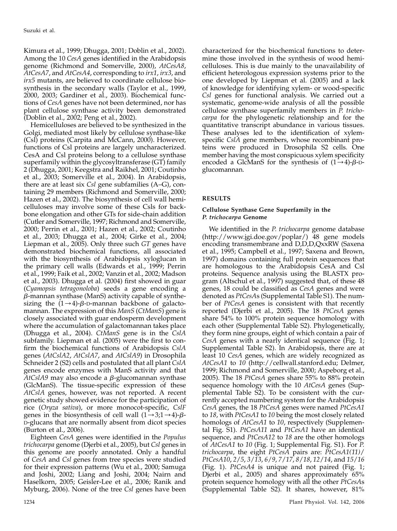Kimura et al., 1999; Dhugga, 2001; Doblin et al., 2002). Among the 10 CesA genes identified in the Arabidopsis genome (Richmond and Somerville, 2000), AtCesA8, AtCesA7, and AtCesA4, corresponding to irx1, irx3, and irx5 mutants, are believed to coordinate cellulose biosynthesis in the secondary walls (Taylor et al., 1999, 2000, 2003; Gardiner et al., 2003). Biochemical functions of CesA genes have not been determined, nor has plant cellulose synthase activity been demonstrated (Doblin et al., 2002; Peng et al., 2002).

Hemicelluloses are believed to be synthesized in the Golgi, mediated most likely by cellulose synthase-like (Csl) proteins (Carpita and McCann, 2000). However, functions of Csl proteins are largely uncharacterized. CesA and Csl proteins belong to a cellulose synthase superfamily within the glycosyltransferase (GT) family 2 (Dhugga, 2001; Keegstra and Raikhel, 2001; Coutinho et al., 2003; Somerville et al., 2004). In Arabidopsis, there are at least six  $Csl$  gene subfamilies  $(A-G)$ , containing 29 members (Richmond and Somerville, 2000; Hazen et al., 2002). The biosynthesis of cell wall hemicelluloses may involve some of these Csls for backbone elongation and other GTs for side-chain addition (Cutler and Somerville, 1997; Richmond and Somerville, 2000; Perrin et al., 2001; Hazen et al., 2002; Coutinho et al., 2003; Dhugga et al., 2004; Girke et al., 2004; Liepman et al.,  $2005$ ). Only three such GT genes have demonstrated biochemical functions, all associated with the biosynthesis of Arabidopsis xyloglucan in the primary cell walls (Edwards et al., 1999; Perrin et al., 1999; Faik et al., 2002; Vanzin et al., 2002; Madson et al., 2003). Dhugga et al. (2004) first showed in guar (Cyamopsis tetragonoloba) seeds a gene encoding a  $\beta$ -mannan synthase (ManS) activity capable of synthesizing the  $(1\rightarrow 4)$ - $\beta$ -D-mannan backbone of galactomannan. The expression of this *ManS* (*CtManS*) gene is closely associated with guar endosperm development where the accumulation of galactomannan takes place (Dhugga et al., 2004). CtManS gene is in the CslA subfamily. Liepman et al. (2005) were the first to confirm the biochemical functions of Arabidopsis CslA genes (AtCslA2, AtCslA7, and AtCslA9) in Drosophila Schneider 2 (S2) cells and postulated that all plant  $CsIA$ genes encode enzymes with ManS activity and that  $AtCsIA9$  may also encode a  $\beta$ -glucomannan synthase (GlcManS). The tissue-specific expression of these AtCslA genes, however, was not reported. A recent genetic study showed evidence for the participation of rice (Oryza sativa), or more monocot-specific, CslF genes in the biosynthesis of cell wall  $(1\rightarrow 3;1\rightarrow 4)$ - $\beta$ -D-glucans that are normally absent from dicot species (Burton et al., 2006).

Eighteen CesA genes were identified in the Populus trichocarpa genome (Djerbi et al., 2005), but Csl genes in this genome are poorly annotated. Only a handful of CesA and Csl genes from tree species were studied for their expression patterns (Wu et al., 2000; Samuga and Joshi, 2002; Liang and Joshi, 2004; Nairn and Haselkorn, 2005; Geisler-Lee et al., 2006; Ranik and Myburg, 2006). None of the tree Csl genes have been

characterized for the biochemical functions to determine those involved in the synthesis of wood hemicelluloses. This is due mainly to the unavailability of efficient heterologous expression systems prior to the one developed by Liepman et al. (2005) and a lack of knowledge for identifying xylem- or wood-specific Csl genes for functional analysis. We carried out a systematic, genome-wide analysis of all the possible cellulose synthase superfamily members in P. trichocarpa for the phylogenetic relationship and for the quantitative transcript abundance in various tissues. These analyses led to the identification of xylemspecific CslA gene members, whose recombinant proteins were produced in Drosophila S2 cells. One member having the most conspicuous xylem specificity encoded a GlcManS for the synthesis of  $(1\rightarrow 4)$ - $\beta$ -Dglucomannan.

## RESULTS

## Cellulose Synthase Gene Superfamily in the P. trichocarpa Genome

We identified in the *P. trichocarpa* genome database (http://www.jgi.doe.gov/poplar/) 48 gene models encoding transmembrane and D,D,D,QxxRW (Saxena et al., 1995; Campbell et al., 1997; Saxena and Brown, 1997) domains containing full protein sequences that are homologous to the Arabidopsis CesA and Csl proteins. Sequence analysis using the BLASTX program (Altschul et al., 1997) suggested that, of these 48 genes, 18 could be classified as CesA genes and were denoted as PtCesAs (Supplemental Table S1). The number of PtCesA genes is consistent with that recently reported (Djerbi et al., 2005). The 18 PtCesA genes share 54% to 100% protein sequence homology with each other (Supplemental Table S2). Phylogenetically, they form nine groups, eight of which contain a pair of CesA genes with a nearly identical sequence (Fig. 1; Supplemental Table S2). In Arabidopsis, there are at least 10 CesA genes, which are widely recognized as AtCesA1 to 10 (http://cellwall.stanford.edu; Delmer, 1999; Richmond and Somerville, 2000; Aspeborg et al., 2005). The 18 PtCesA genes share 55% to 88% protein sequence homology with the 10 AtCesA genes (Supplemental Table S2). To be consistent with the currently accepted numbering system for the Arabidopsis CesA genes, the 18 PtCesA genes were named PtCesA1 to 18, with PtCesA1 to 10 being the most closely related homologs of *AtCesA1* to 10, respectively (Supplemental Fig. S1). PtCesA11 and PtCesA1 have an identical sequence, and *PtCesA12* to 18 are the other homologs of AtCesA1 to 10 (Fig. 1; Supplemental Fig. S1). For P. trichocarpa, the eight PtCesA pairs are: PtCesA1(11)/ PtCesA10, 2/5, 3/13, 6/9, 7/17, 8/18, 12/14, and 15/16 (Fig. 1). PtCesA4 is unique and not paired (Fig. 1; Djerbi et al., 2005) and shares approximately 65% protein sequence homology with all the other PtCesAs (Supplemental Table S2). It shares, however, 81%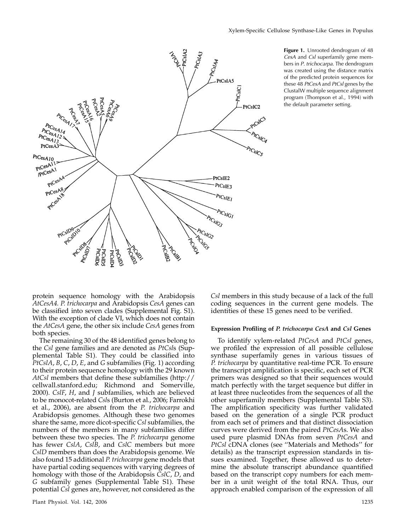

Figure 1. Unrooted dendrogram of 48 CesA and Csl superfamily gene members in P. trichocarpa. The dendrogram was created using the distance matrix of the predicted protein sequences for these 48 PtCesA and PtCsl genes by the ClustalW multiple sequence alignment program (Thompson et al., 1994) with the default parameter setting.

protein sequence homology with the Arabidopsis AtCesA4. P. trichocarpa and Arabidopsis CesA genes can be classified into seven clades (Supplemental Fig. S1). With the exception of clade VI, which does not contain the AtCesA gene, the other six include CesA genes from both species.

The remaining 30 of the 48 identified genes belong to the Csl gene families and are denoted as PtCsls (Supplemental Table S1). They could be classified into PtCslA, B, C, D, E, and G subfamilies (Fig. 1) according to their protein sequence homology with the 29 known AtCsl members that define these subfamilies (http:// cellwall.stanford.edu; Richmond and Somerville, 2000). CslF, H, and J subfamilies, which are believed to be monocot-related Csls (Burton et al., 2006; Farrokhi et al., 2006), are absent from the P. trichocarpa and Arabidopsis genomes. Although these two genomes share the same, more dicot-specific Csl subfamilies, the numbers of the members in many subfamilies differ between these two species. The *P. trichocarpa* genome has fewer CslA, CslB, and CslC members but more CslD members than does the Arabidopsis genome. We also found 15 additional P. trichocarpa gene models that have partial coding sequences with varying degrees of homology with those of the Arabidopsis CslC, D, and G subfamily genes (Supplemental Table S1). These potential Csl genes are, however, not considered as the

Csl members in this study because of a lack of the full coding sequences in the current gene models. The identities of these 15 genes need to be verified.

#### Expression Profiling of P. trichocarpa CesA and Csl Genes

To identify xylem-related PtCesA and PtCsl genes, we profiled the expression of all possible cellulose synthase superfamily genes in various tissues of P. trichocarpa by quantitative real-time PCR. To ensure the transcript amplification is specific, each set of PCR primers was designed so that their sequences would match perfectly with the target sequence but differ in at least three nucleotides from the sequences of all the other superfamily members (Supplemental Table S3). The amplification specificity was further validated based on the generation of a single PCR product from each set of primers and that distinct dissociation curves were derived from the paired PtCesAs. We also used pure plasmid DNAs from seven PtCesA and PtCsl cDNA clones (see ''Materials and Methods'' for details) as the transcript expression standards in tissues examined. Together, these allowed us to determine the absolute transcript abundance quantified based on the transcript copy numbers for each member in a unit weight of the total RNA. Thus, our approach enabled comparison of the expression of all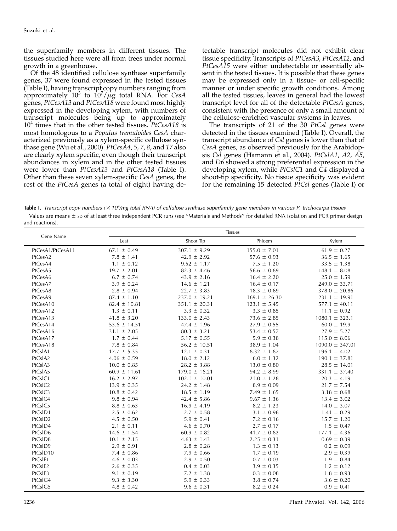the superfamily members in different tissues. The tissues studied here were all from trees under normal growth in a greenhouse.

Of the 48 identified cellulose synthase superfamily genes, 37 were found expressed in the tested tissues (Table I), having transcript copy numbers ranging from approximately  $10^3$  to  $10^7/\mu g$  total RNA. For CesA genes, PtCesA13 and PtCesA18 were found most highly expressed in the developing xylem, with numbers of transcript molecules being up to approximately  $10<sup>4</sup>$  times that in the other tested tissues. PtCesA18 is most homologous to a Populus tremuloides CesA characterized previously as a xylem-specific cellulose synthase gene (Wu et al., 2000).  $PtCes\AA4$ , 5, 7, 8, and 17 also are clearly xylem specific, even though their transcript abundances in xylem and in the other tested tissues were lower than PtCesA13 and PtCesA18 (Table I). Other than these seven xylem-specific CesA genes, the rest of the PtCesA genes (a total of eight) having de-

tectable transcript molecules did not exhibit clear tissue specificity. Transcripts of PtCesA3, PtCesA12, and PtCesA15 were either undetectable or essentially absent in the tested tissues. It is possible that these genes may be expressed only in a tissue- or cell-specific manner or under specific growth conditions. Among all the tested tissues, leaves in general had the lowest transcript level for all of the detectable PtCesA genes, consistent with the presence of only a small amount of the cellulose-enriched vascular systems in leaves.

The transcripts of 21 of the 30 PtCsl genes were detected in the tissues examined (Table I). Overall, the transcript abundance of Csl genes is lower than that of CesA genes, as observed previously for the Arabidopsis Csl genes (Hamann et al., 2004). PtCslA1, A2, A5, and D6 showed a strong preferential expression in the developing xylem, while PtCslC1 and C4 displayed a shoot-tip specificity. No tissue specificity was evident for the remaining 15 detected  $PfCsl$  genes (Table I) or

Table I. Transcript copy numbers ( $\times$  10<sup>4</sup>/mg total RNA) of cellulose synthase superfamily gene members in various P. trichocarpa tissues Values are means  $\pm$  sp of at least three independent PCR runs (see "Materials and Methods" for detailed RNA isolation and PCR primer design and reactions).

| Gene Name        | <b>Tissues</b>   |                   |                   |                     |
|------------------|------------------|-------------------|-------------------|---------------------|
|                  | Leaf             | Shoot Tip         | Phloem            | Xylem               |
| PtCesA1/PtCesA11 | $67.1 \pm 0.49$  | $307.1 \pm 9.29$  | $155.0 \pm 7.01$  | $61.9 \pm 0.27$     |
| PtCesA2          | $7.8 \pm 1.41$   | $42.9 \pm 2.92$   | $57.6 \pm 0.93$   | $36.5 \pm 1.65$     |
| PtCesA4          | $1.1 \pm 0.12$   | $9.52 \pm 1.17$   | $7.5 \pm 1.20$    | $33.5 \pm 1.38$     |
| PtCesA5          | $19.7 \pm 2.01$  | $82.3 \pm 4.46$   | $56.6 \pm 0.89$   | $148.1 \pm 8.08$    |
| PtCesA6          | $6.7 \pm 0.74$   | $43.9 \pm 2.16$   | $16.4 \pm 2.20$   | $25.0 \pm 1.59$     |
| PtCesA7          | $3.9 \pm 0.24$   | $14.6 \pm 1.21$   | $16.4 \pm 0.17$   | $249.0 \pm 33.71$   |
| PtCesA8          | $2.8 \pm 0.94$   | $22.7 \pm 3.83$   | $18.3 \pm 0.69$   | $378.0 \pm 20.86$   |
| PtCesA9          | $87.4 \pm 1.10$  | $237.0 \pm 19.21$ | $169.1 \pm 26.30$ | $231.1 \pm 19.91$   |
| PtCesA10         | $82.4 \pm 10.81$ | $351.1 \pm 20.31$ | $123.1 \pm 5.45$  | $577.1 \pm 40.11$   |
| PtCesA12         | $1.3 \pm 0.11$   | $3.3 \pm 0.32$    | $3.3 \pm 0.85$    | $11.1 \pm 0.92$     |
| PtCesA13         | $41.8 \pm 3.20$  | $133.0 \pm 2.43$  | $73.6 \pm 2.85$   | $1080.1 \pm 323.1$  |
| PtCesA14         | $53.6 \pm 14.51$ | $47.4 \pm 1.96$   | $27.9 \pm 0.55$   | $60.0 \pm 19.9$     |
| PtCesA16         | $31.1 \pm 2.05$  | $80.3 \pm 3.21$   | $53.4 \pm 0.57$   | $27.9 \pm 5.27$     |
| PtCesA17         | $1.7 \pm 0.44$   | $5.17 \pm 0.55$   | $5.9 \pm 0.38$    | $115.0 \pm 8.06$    |
| PtCesA18         | $7.8 \pm 0.84$   | $56.2 \pm 10.51$  | $38.9 \pm 1.04$   | $1090.0 \pm 347.01$ |
| PtCsIA1          | $17.7 \pm 5.35$  | $12.1 \pm 0.31$   | $8.32 \pm 1.87$   | $196.1 \pm 4.02$    |
| PtCsIA2          | $4.06 \pm 0.59$  | $18.0 \pm 2.12$   | $6.0 \pm 1.32$    | $190.1 \pm 37.81$   |
| PtCsIA3          | $10.0 \pm 0.85$  | $28.2 \pm 3.88$   | $13.0 \pm 0.80$   | $28.5 \pm 14.01$    |
| PtCsIA5          | $60.9 \pm 11.61$ | $179.0 \pm 16.21$ | $94.2 \pm 8.99$   | $331.1 \pm 37.40$   |
| PtCsIC1          | $16.2 \pm 2.97$  | $102.1 \pm 10.01$ | $21.0 \pm 1.28$   | $20.3 \pm 4.19$     |
| PtCsIC2          | $13.9 \pm 0.35$  | $24.2 \pm 1.48$   | $8.9 \pm 0.09$    | $21.7 \pm 7.54$     |
| PtCsIC3          | $10.8 \pm 0.42$  | $18.5 \pm 1.19$   | $7.49 \pm 1.65$   | $3.18 \pm 0.68$     |
| PtCsIC4          | $9.8 \pm 0.94$   | $42.4 \pm 5.86$   | $9.67 \pm 1.36$   | $13.4 \pm 3.02$     |
| PtCsIC5          | $8.8 \pm 0.63$   | $16.9 \pm 4.19$   | $8.2 \pm 1.23$    | $14.0 \pm 3.07$     |
| PtCsID1          | $2.5 \pm 0.62$   | $2.7 \pm 0.58$    | $3.1 \pm 0.96$    | $1.41 \pm 0.29$     |
| PtCsID2          | $4.5 \pm 0.50$   | $5.9 \pm 0.41$    | $7.2 \pm 0.16$    | $15.7 \pm 1.20$     |
| PtCsID4          | $2.1 \pm 0.11$   | $4.6 \pm 0.70$    | $2.7 \pm 0.17$    | $1.5 \pm 0.47$      |
| PtCsID6          | $14.6 \pm 1.54$  | $60.9 \pm 0.82$   | $41.7 \pm 0.82$   | $177.1 \pm 4.36$    |
| PtCsID8          | $10.1 \pm 2.15$  | $4.63 \pm 1.43$   | $2.25 \pm 0.31$   | $0.69 \pm 0.39$     |
| PtCsID9          | $2.9 \pm 0.91$   | $2.8 \pm 0.28$    | $1.3 \pm 0.13$    | $0.2 \pm 0.09$      |
| PtCsID10         | $7.4 \pm 0.86$   | $7.9 \pm 0.66$    | $1.7 \pm 0.19$    | $2.9 \pm 0.39$      |
| PtCsIE1          | $4.6 \pm 0.03$   | $2.9 \pm 0.50$    | $0.7 \pm 0.03$    | $1.9 \pm 0.84$      |
| PtCsIE2          | $2.6 \pm 0.35$   | $0.4 \pm 0.03$    | $3.9 \pm 0.35$    | $1.2 \pm 0.12$      |
| PtCsIE3          | $9.1 \pm 0.19$   | $7.2 \pm 1.38$    | $0.3 \pm 0.08$    | $1.8 \pm 0.93$      |
| PtCsIG4          | $9.3 \pm 3.30$   | $5.9 \pm 0.33$    | $3.8 \pm 0.74$    | $3.6 \pm 0.20$      |
| PtCsIG5          | $4.8 \pm 0.42$   | $9.6 \pm 0.31$    | $8.2 \pm 0.24$    | $0.9 \pm 0.41$      |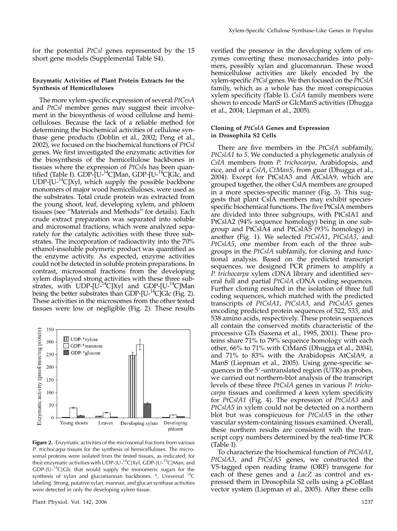for the potential PtCsl genes represented by the 15 short gene models (Supplemental Table S4).

## Enzymatic Activities of Plant Protein Extracts for the Synthesis of Hemicelluloses

The more xylem-specific expression of several PtCesA and PtCsl member genes may suggest their involvement in the biosynthesis of wood cellulose and hemicelluloses. Because the lack of a reliable method for determining the biochemical activities of cellulose synthase gene products (Doblin et al., 2002; Peng et al., 2002), we focused on the biochemical functions of PtCsl genes. We first investigated the enzymatic activities for the biosynthesis of the hemicellulose backbones in tissues where the expression of PtCsls has been quantified (Table I). GDP- $[U^{-14}C]$ Man, GDP- $[U^{-14}C]$ Glc, and  $UDP-[U^{-1}C]Xyl$ , which supply the possible backbone monomers of major wood hemicelluloses, were used as the substrates. Total crude protein was extracted from the young shoot, leaf, developing xylem, and phloem tissues (see ''Materials and Methods'' for details). Each crude extract preparation was separated into soluble and microsomal fractions, which were analyzed separately for the catalytic activities with these three substrates. The incorporation of radioactivity into the 70% ethanol-insoluble polymeric product was quantified as the enzyme activity. As expected, enzyme activities could not be detected in soluble protein preparations. In contrast, microsomal fractions from the developing xylem displayed strong activities with these three substrates, with UDP- $[U<sup>14</sup>C]Xy1$  and GDP- $[U<sup>14</sup>C]Man$ being the better substrates than GDP-[U-<sup>14</sup>C]Glc (Fig. 2). These activities in the microsomes from the other tested tissues were low or negligible (Fig. 2). These results



Figure 2. Enzymatic activities of the microsomal fractions from various P. trichocarpa tissues for the synthesis of hemicelluloses. The microsomal proteins were isolated from the tested tissues, as indicated, for their enzymatic activities with UDP-[U-14C]Xyl, GDP-[U-14C]Man, and GDP-[U-14C]Glc that would supply the monomeric sugars for the synthesis of xylan and glucomannan backbones. \*, Universal 14C labeling. Strong, putative xylan, mannan, and glucan synthase activities were detected in only the developing xylem tissue.

Plant Physiol. Vol. 142, 2006 1237

verified the presence in the developing xylem of enzymes converting these monosaccharides into polymers, possibly xylan and glucomannan. These wood hemicellulose activities are likely encoded by the xylem-specific PtCsl genes. We then focused on the PtCslA family, which as a whole has the most conspicuous xylem specificity (Table I). CslA family members were shown to encode ManS or GlcManS activities (Dhugga et al., 2004; Liepman et al., 2005).

## Cloning of PtCslA Genes and Expression in Drosophila S2 Cells

There are five members in the PtCslA subfamily, PtCslA1 to 5. We conducted a phylogenetic analysis of CslA members from P. trichocarpa, Arabidopsis, and rice, and of a CslA, CtManS, from guar (Dhugga et al., 2004). Except for PtCslA3 and AtCslA9, which are grouped together, the other CslA members are grouped in a more species-specific manner (Fig. 3). This suggests that plant CslA members may exhibit speciesspecific biochemical functions. The five PtCslA members are divided into three subgroups, with PtCslA1 and PtCslA2 (94% sequence homology) being in one subgroup and PtCslA4 and PtCslA5 (93% homology) in another (Fig. 1). We selected PtCslA1, PtCslA3, and PtCslA5, one member from each of the three subgroups in the PtCslA subfamily, for cloning and functional analysis. Based on the predicted transcript sequences, we designed PCR primers to amplify a P. trichocarpa xylem cDNA library and identified several full and partial PtCslA cDNA coding sequences. Further cloning resulted in the isolation of three full coding sequences, which matched with the predicted transcripts of PtCslA1, PtCslA3, and PtCslA5 genes encoding predicted protein sequences of 522, 533, and 538 amino acids, respectively. These protein sequences all contain the conserved motifs characteristic of the processive GTs (Saxena et al., 1995, 2001). These proteins share 71% to 79% sequence homology with each other, 66% to 71% with CtManS (Dhugga et al., 2004), and 71% to 83% with the Arabidopsis AtCslA9, a ManS (Liepman et al., 2005). Using gene-specific sequences in the  $5'$ -untranslated region (UTR) as probes, we carried out northern-blot analysis of the transcript levels of these three PtCslA genes in various P. trichocarpa tissues and confirmed a keen xylem specificity for PtCslA1 (Fig. 4). The expression of PtCslA3 and PtCslA5 in xylem could not be detected on a northern blot but was conspicuous for PtCslA5 in the other vascular system-containing tissues examined. Overall, these northern results are consistent with the transcript copy numbers determined by the real-time PCR (Table I).

To characterize the biochemical function of PtCslA1, PtCslA3, and PtCslA5 genes, we constructed the V5-tagged open reading frame (ORF) transgene for each of these genes and a LacZ as control and expressed them in Drosophila S2 cells using a pCoBlast vector system (Liepman et al., 2005). After these cells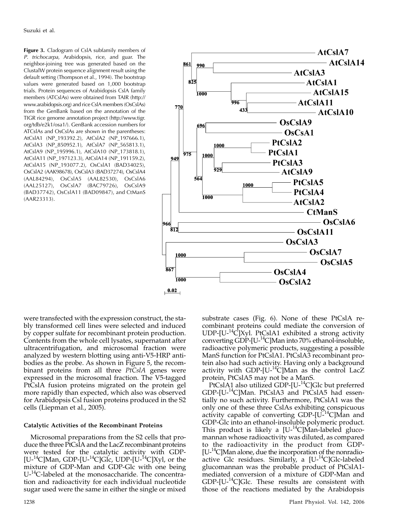Figure 3. Cladogram of CslA subfamily members of P. trichocarpa, Arabidopsis, rice, and guar. The neighbor-joining tree was generated based on the ClustalW protein sequence alignment result using the default setting (Thompson et al., 1994). The bootstrap values were generated based on 1,000 bootstrap trials. Protein sequences of Arabidopsis CslA family members (ATCslAs) were obtained from TAIR (http:// www.arabidopsis.org) and rice CslA members (OsCslAs) from the GenBank based on the annotation of the TIGR rice genome annotation project (http://www.tigr. org/tdb/e2k1/osa1/). GenBank accession numbers for ATCslAs and OsCslAs are shown in the parentheses: AtCslA1 (NP\_193392.2), AtCslA2 (NP\_197666.1), AtCslA3 (NP\_850952.1), AtCslA7 (NP\_565813.1), AtCslA9 (NP\_195996.1), AtCslA10 (NP\_173818.1), AtCslA11 (NP\_197123.3), AtCslA14 (NP\_191159.2), AtCslA15 (NP\_193077.2), OsCslA1 (BAD34025), OsCslA2 (AAK98678), OsCslA3 (BAD37274), OsCslA4 (AAL84294), OsCslA5 (AAL82530), OsCslA6 (AAL25127), OsCslA7 (BAC79726), OsCslA9 (BAD37742), OsCslA11 (BAD09847), and CtManS (AAR23313).



were transfected with the expression construct, the stably transformed cell lines were selected and induced by copper sulfate for recombinant protein production. Contents from the whole cell lysates, supernatant after ultracentrifugation, and microsomal fraction were analyzed by western blotting using anti-V5-HRP antibodies as the probe. As shown in Figure 5, the recombinant proteins from all three  $Pt\bar{C}sIA$  genes were expressed in the microsomal fraction. The V5-tagged PtCslA fusion proteins migrated on the protein gel more rapidly than expected, which also was observed for Arabidopsis Csl fusion proteins produced in the S2 cells (Liepman et al., 2005).

## Catalytic Activities of the Recombinant Proteins

Microsomal preparations from the S2 cells that produce the three PtCslA and the LacZ recombinant proteins were tested for the catalytic activity with GDP-  $[U<sup>-14</sup>C]$ Man, GDP-[U-<sup>14</sup>C]Glc, UDP-[U-<sup>14</sup>C]Xyl, or the mixture of GDP-Man and GDP-Glc with one being U<sup>-14</sup>C-labeled at the monosaccharide. The concentration and radioactivity for each individual nucleotide sugar used were the same in either the single or mixed

substrate cases (Fig. 6). None of these PtCslA recombinant proteins could mediate the conversion of UDP- $[U^{-14}\tilde{C}]$ Xyl. PtCslA1 exhibited a strong activity converting GDP-[U-14C]Man into 70% ethanol-insoluble, radioactive polymeric products, suggesting a possible ManS function for PtCslA1. PtCslA3 recombinant protein also had such activity. Having only a background activity with GDP-[U-<sup>14</sup>C]Man as the control LacZ protein, PtCslA5 may not be a ManS.

PtCslA1 also utilized GDP-[U-<sup>14</sup>C]Glc but preferred GDP-[U-14C]Man. PtCslA3 and PtCslA5 had essentially no such activity. Furthermore, PtCslA1 was the only one of these three CslAs exhibiting conspicuous activity capable of converting GDP-[U-14C]Man and GDP-Glc into an ethanol-insoluble polymeric product. This product is likely a  $[U^{-14}C]$ Man-labeled glucomannan whose radioactivity was diluted, as compared to the radioactivity in the product from GDP-  $[U<sup>-14</sup>C]$ Man alone, due the incorporation of the nonradioactive Glc residues. Similarly, a  $[U^{-14}C]$ Glc-labeled glucomannan was the probable product of PtCslA1 mediated conversion of a mixture of GDP-Man and  $GDP-[U^{-14}C]$ Glc. These results are consistent with those of the reactions mediated by the Arabidopsis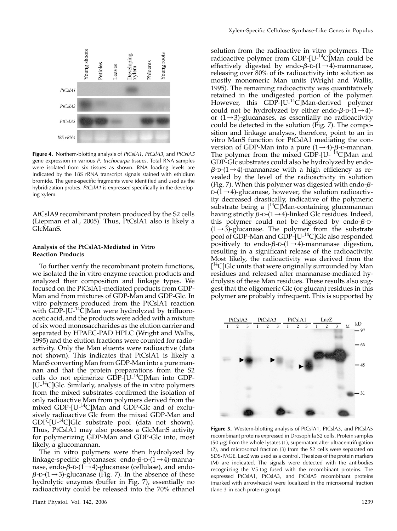

Figure 4. Northern-blotting analysis of *PtCslA1*, *PtCslA3*, and *PtCslA5* gene expression in various P. trichocarpa tissues. Total RNA samples were isolated from six tissues as shown. RNA loading levels are indicated by the 18S rRNA transcript signals stained with ethidium bromide. The gene-specific fragments were identified and used as the hybridization probes. PtCsIA1 is expressed specifically in the developing xylem.

AtCslA9 recombinant protein produced by the S2 cells (Liepman et al., 2005). Thus, PtCslA1 also is likely a GlcManS.

## Analysis of the PtCslA1-Mediated in Vitro Reaction Products

To further verify the recombinant protein functions, we isolated the in vitro enzyme reaction products and analyzed their composition and linkage types. We focused on the PtCslA1-mediated products from GDP-Man and from mixtures of GDP-Man and GDP-Glc. In vitro polymers produced from the PtCslA1 reaction with  $\rm \dot{G}D\dot{P}$ -[U-<sup>14</sup>C]Man were hydrolyzed by trifluoroacetic acid, and the products were added with a mixture of six wood monosaccharides as the elution carrier and separated by HPAEC-PAD HPLC (Wright and Wallis, 1995) and the elution fractions were counted for radioactivity. Only the Man eluents were radioactive (data not shown). This indicates that PtCslA1 is likely a ManS converting Man from GDP-Man into a pure mannan and that the protein preparations from the S2 cells do not epimerize  $GDP$ -[U- $^{14}C$ ]Man into GDP- $[U<sup>14</sup>C]Glc$ . Similarly, analysis of the in vitro polymers from the mixed substrates confirmed the isolation of only radioactive Man from polymers derived from the mixed GDP-[U-<sup>14</sup>C]Man and GDP-Glc and of exclusively radioactive Glc from the mixed GDP-Man and GDP-[U-14C]Glc substrate pool (data not shown). Thus, PtCslA1 may also possess a GlcManS activity for polymerizing GDP-Man and GDP-Glc into, most likely, a glucomannan.

The in vitro polymers were then hydrolyzed by linkage-specific glycanases: endo- $\beta$ -D- $(1\rightarrow 4)$ -mannanase, endo- $\beta$ -D-(1 $\rightarrow$ 4)-glucanase (cellulase), and endo- $\beta$ -D-(1  $\rightarrow$  3)-glucanase (Fig. 7). In the absence of these hydrolytic enzymes (buffer in Fig. 7), essentially no radioactivity could be released into the 70% ethanol

solution from the radioactive in vitro polymers. The radioactive polymer from GDP- $[U^{-14}C]$ Man could be effectively digested by endo- $\beta$ -D-(1 $\rightarrow$ 4)-mannanase, releasing over 80% of its radioactivity into solution as mostly monomeric Man units (Wright and Wallis, 1995). The remaining radioactivity was quantitatively retained in the undigested portion of the polymer. However, this GDP-[U-<sup>14</sup>C]Man-derived polymer could not be hydrolyzed by either endo- $\beta$ -D- $(1\rightarrow 4)$ or  $(1\rightarrow 3)$ -glucanases, as essentially no radioactivity could be detected in the solution (Fig. 7). The composition and linkage analyses, therefore, point to an in vitro ManS function for PtCslA1 mediating the conversion of GDP-Man into a pure  $(1\rightarrow 4)$ - $\beta$ -D-mannan. The polymer from the mixed GDP-[U-<sup>14</sup>C]Man and GDP-Glc substrates could also be hydrolyzed by endo- $\beta$ -D-(1  $\rightarrow$  4)-mannanase with a high efficiency as revealed by the level of the radioactivity in solution (Fig. 7). When this polymer was digested with endo- $\beta$ - $D-(1\rightarrow 4)$ -glucanase, however, the solution radioactivity decreased drastically, indicative of the polymeric substrate being a  $[$ <sup>14</sup>C]Man-containing glucomannan having strictly  $\beta$ -D-(1  $\rightarrow$  4)-linked Glc residues. Indeed, this polymer could not be digested by endo- $\beta$ -D- $(1\rightarrow 3)$ -glucanase. The polymer from the substrate pool of GDP-Man and GDP-[U-<sup>14</sup>C]Glc also responded positively to endo- $\beta$ -D- $(1\rightarrow 4)$ -mannanase digestion, resulting in a significant release of the radioactivity. Most likely, the radioactivity was derived from the [<sup>14</sup>C]Glc units that were originally surrounded by Man residues and released after mannanase-mediated hydrolysis of these Man residues. These results also suggest that the oligomeric Glc (or glucan) residues in this polymer are probably infrequent. This is supported by



Figure 5. Western-blotting analysis of PtCslA1, PtCslA3, and PtCslA5 recombinant proteins expressed in Drosophila S2 cells. Protein samples (50  $\mu$ g) from the whole lysates (1), supernatant after ultracentrifugation (2), and microsomal fraction (3) from the S2 cells were separated on SDS-PAGE. LacZ was used as a control. The sizes of the protein markers (M) are indicated. The signals were detected with the antibodies recognizing the V5-tag fused with the recombinant proteins. The expressed PtCslA1, PtCslA3, and PtCslA5 recombinant proteins (marked with arrowheads) were localized in the microsomal fraction (lane 3 in each protein group).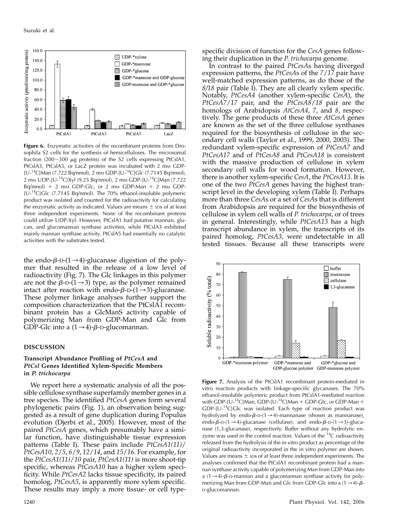

Figure 6. Enzymatic activities of the recombinant proteins from Drosophila S2 cells for the synthesis of hemicelluloses. The microsomal fraction (200 $\sim$ 300  $\mu$ g proteins) of the S2 cells expressing PtCslA1, PtCslA3, PtCslA5, or LacZ protein was incubated with 2 mm GDP-[U-<sup>14</sup>C]Man (7.722 Bq/nmol), 2 mm GDP-[U-<sup>14</sup>C]Glc (7.7145 Bq/nmol), 2 mм UDP-[U-<sup>14</sup>C]Xyl (9.25 Bq/nmol), 2 mм GDP-[U-<sup>14</sup>C]Man (7.722 Bq/nmol)  $+$  2 mm GDP-Glc, or 2 mm GDP-Man  $+$  2 mm GDP-[U-14C]Glc (7.7145 Bq/nmol). The 70% ethanol-insoluble polymeric product was isolated and counted for the radioactivity for calculating the enzymatic activity as indicated. Values are means  $\pm$  sps of at least three independent experiments. None of the recombinant proteins could utilize UDP-Xyl. However, PtCslA1 had putative mannan, glucan, and glucomannan synthase activities, while PtCslA3 exhibited mainly mannan synthase activity. PtCslA5 had essentially no catalytic activities with the substrates tested.

the endo- $\beta$ -D-(1 $\rightarrow$ 4)-glucanase digestion of the polymer that resulted in the release of a low level of radioactivity (Fig. 7). The Glc linkages in this polymer are not the  $\beta$ -D-(1 $\rightarrow$ 3) type, as the polymer remained intact after reaction with endo- $\beta$ -D- $(1\rightarrow 3)$ -glucanase. These polymer linkage analyses further support the composition characterization that the PtCslA1 recombinant protein has a GlcManS activity capable of polymerizing Man from GDP-Man and Glc from GDP-Glc into a  $(1\rightarrow 4)$ - $\beta$ -D-glucomannan.

## DISCUSSION

## Transcript Abundance Profiling of PtCesA and PtCsl Genes Identified Xylem-Specific Members in P. trichocarpa

We report here a systematic analysis of all the possible cellulose synthase superfamily member genes in a tree species. The identified PtCesA genes form several phylogenetic pairs (Fig. 1), an observation being suggested as a result of gene duplication during Populus evolution (Djerbi et al., 2005). However, most of the paired PtCesA genes, which presumably have a similar function, have distinguishable tissue expression patterns (Table I). These pairs include PtCesA1(11)/ PtCesA10, 2/5, 6/9, 12/14, and 15/16. For example, for the PtCesA1(11)/10 pair, PtCesA1(11) is more shoot-tip specific, whereas PtCesA10 has a higher xylem specificity. While PtCesA2 lacks tissue specificity, its paired homolog, PtCesA5, is apparently more xylem specific. These results may imply a more tissue- or cell typespecific division of function for the CesA genes following their duplication in the P. trichocarpa genome.

In contrast to the paired PtCesAs having diverged expression patterns, the PtCesAs of the 7/17 pair have well-matched expression patterns, as do those of the  $8/18$  pair (Table I). They are all clearly xylem specific. Notably, PtCesA4 (another xylem-specific CesA), the PtCesA7/17 pair, and the PtCesA8/18 pair are the homologs of Arabidopsis AtCesA4, 7, and 8, respectively. The gene products of these three AtCesA genes are known as the set of the three cellulose synthases required for the biosynthesis of cellulose in the secondary cell walls (Taylor et al., 1999, 2000, 2003). The redundant xylem-specific expression of PtCesA7 and PtCesA17 and of PtCesA8 and PtCesA18 is consistent with the massive production of cellulose in xylem secondary cell walls for wood formation. However, there is another xylem-specific CesA, the PtCesA13. It is one of the two PtCesA genes having the highest transcript level in the developing xylem (Table I). Perhaps more than three CesAs or a set of CesAs that is different from Arabidopsis are required for the biosynthesis of cellulose in xylem cell walls of P. trichocarpa, or of trees in general. Interestingly, while PtCesA13 has a high transcript abundance in xylem, the transcripts of its paired homolog, PtCesA3, were undetectable in all tested tissues. Because all these transcripts were



Figure 7. Analysis of the PtCslA1 recombinant protein-mediated in vitro reaction products with linkage-specific glycanases. The 70% ethanol-insoluble polymeric product from PtCslA1-mediated reaction with GDP-[U-<sup>14</sup>C]Man, GDP-[U-<sup>14</sup>C]Man + GDP-Glc, or GDP-Man + GDP- $[U^{-14}C]$ Glc was isolated. Each type of reaction product was hydrolyzed by endo- $\beta$ -D-(1  $\rightarrow$  4)-mannanase (shown as mannanase), endo- $\beta$ -D-(1  $\rightarrow$  4)-glucanase (cellulase), and endo- $\beta$ -D-(1  $\rightarrow$  3)-glucanase (1,3-glucanase), respectively. Buffer without any hydrolytic enzyme was used in the control reaction. Values of the  $^{14}C$  radioactivity released from the hydrolysis of the in vitro product as percentage of the original radioactivity incorporated in the in vitro polymer are shown. Values are means  $\pm$  sps of at least three independent experiments. The analyses confirmed that the PtCslA1 recombinant protein had a mannan synthase activity capable of polymerizing Man from GDP-Man into a  $(1 \rightarrow 4)$ - $\beta$ -D-mannan and a glucomannan synthase activity for polymerizing Man from GDP-Man and Glc from GDP-Glc into a  $(1 \rightarrow 4)$ - $\beta$ -D-glucomannan.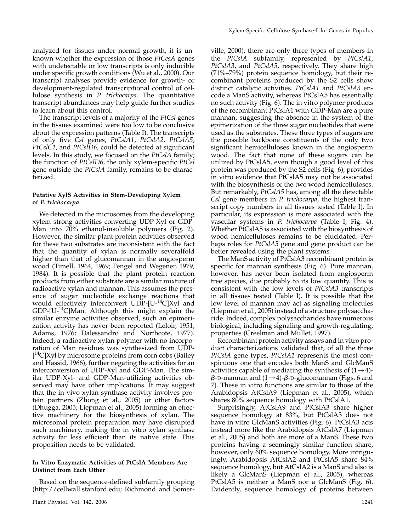analyzed for tissues under normal growth, it is unknown whether the expression of those PtCesA genes with undetectable or low transcripts is only inducible under specific growth conditions (Wu et al., 2000). Our transcript analyses provide evidence for growth- or development-regulated transcriptional control of cellulose synthesis in P. trichocarpa. The quantitative transcript abundances may help guide further studies to learn about this control.

The transcript levels of a majority of the PtCsl genes in the tissues examined were too low to be conclusive about the expression patterns (Table I). The transcripts of only five Csl genes, PtCslA1, PtCslA2, PtCslA5, PtCslC1, and PtCslD6, could be detected at significant levels. In this study, we focused on the PtCslA family; the function of PtCslD6, the only xylem-specific PtCsl gene outside the PtCslA family, remains to be characterized.

## Putative XylS Activities in Stem-Developing Xylem of P. trichocarpa

We detected in the microsomes from the developing xylem strong activities converting UDP-Xyl or GDP-Man into 70% ethanol-insoluble polymers (Fig. 2). However, the similar plant protein activities observed for these two substrates are inconsistent with the fact that the quantity of xylan is normally severalfold higher than that of glucomannan in the angiosperm wood (Timell, 1964, 1969; Fengel and Wegener, 1979, 1984). It is possible that the plant protein reaction products from either substrate are a similar mixture of radioactive xylan and mannan. This assumes the presence of sugar nucleotide exchange reactions that would effectively interconvert  $UDP-[U^{-14}C]Xyl$  and  $GDP-[U^{-14}C]$ Man. Although this might explain the similar enzyme activities observed, such an epimerization activity has never been reported (Leloir, 1951; Adams, 1976; Dalessandro and Northcote, 1977). Indeed, a radioactive xylan polymer with no incorporation of Man residues was synthesized from UDP- [<sup>14</sup>C]Xyl by microsome proteins from corn cobs (Bailey and Hassid, 1966), further negating the activities for an interconversion of UDP-Xyl and GDP-Man. The similar UDP-Xyl- and GDP-Man-utilizing activities observed may have other implications. It may suggest that the in vivo xylan synthase activity involves protein partners (Zhong et al., 2005) or other factors (Dhugga, 2005; Liepman et al., 2005) forming an effective machinery for the biosynthesis of xylan. The microsomal protein preparation may have disrupted such machinery, making the in vitro xylan synthase activity far less efficient than its native state. This proposition needs to be validated.

## In Vitro Enzymatic Activities of PtCslA Members Are Distinct from Each Other

Based on the sequence-defined subfamily grouping (http://cellwall.stanford.edu; Richmond and Somer-

ville, 2000), there are only three types of members in the PtCslA subfamily, represented by PtCslA1, PtCslA3, and PtCslA5, respectively. They share high (71%–79%) protein sequence homology, but their recombinant proteins produced by the S2 cells show distinct catalytic activities. PtCsIA1 and PtCsIA3 encode a ManS activity, whereas PtCslA5 has essentially no such activity (Fig. 6). The in vitro polymer products of the recombinant PtCslA1 with GDP-Man are a pure mannan, suggesting the absence in the system of the epimerization of the three sugar nucleotides that were used as the substrates. These three types of sugars are the possible backbone constituents of the only two significant hemicelluloses known in the angiosperm wood. The fact that none of these sugars can be utilized by PtCslA5, even though a good level of this protein was produced by the S2 cells (Fig. 6), provides in vitro evidence that PtCslA5 may not be associated with the biosynthesis of the two wood hemicelluloses. But remarkably, PtCslA5 has, among all the detectable Csl gene members in P. trichocarpa, the highest transcript copy numbers in all tissues tested (Table I). In particular, its expression is more associated with the vascular systems in P. trichocarpa (Table I; Fig. 4). Whether PtCslA5 is associated with the biosynthesis of wood hemicelluloses remains to be elucidated. Perhaps roles for PtCslA5 gene and gene product can be better revealed using the plant systems.

The ManS activity of PtCslA3 recombinant protein is specific for mannan synthesis (Fig. 6). Pure mannan, however, has never been isolated from angiosperm tree species, due probably to its low quantity. This is consistent with the low levels of PtCslA3 transcripts in all tissues tested (Table I). It is possible that the low level of mannan may act as signaling molecules (Liepman et al., 2005) instead of a structure polysaccharide. Indeed, complex polysaccharides have numerous biological, including signaling and growth-regulating, properties (Creelman and Mullet, 1997).

Recombinant protein activity assays and in vitro product characterizations validated that, of all the three PtCslA gene types, PtCslA1 represents the most conspicuous one that encodes both ManS and GlcManS activities capable of mediating the synthesis of  $(1\rightarrow 4)$ - $\beta$ -D-mannan and (1  $\rightarrow$  4)- $\beta$ -D-glucomannan (Figs. 6 and 7). These in vitro functions are similar to those of the Arabidopsis AtCslA9 (Liepman et al., 2005), which shares 80% sequence homology with PtCslA1.

Surprisingly, AtCslA9 and PtCslA3 share higher sequence homology at 83%, but PtCslA3 does not have in vitro GlcManS activities (Fig. 6). PtCslA3 acts instead more like the Arabidopsis AtCslA7 (Liepman et al., 2005) and both are more of a ManS. These two proteins having a seemingly similar function share, however, only 60% sequence homology. More intriguingly, Arabidopsis AtCslA2 and PtCslA5 share 84% sequence homology, but AtCslA2 is a ManS and also is likely a GlcManS (Liepman et al., 2005), whereas PtCslA5 is neither a ManS nor a GlcManS (Fig. 6). Evidently, sequence homology of proteins between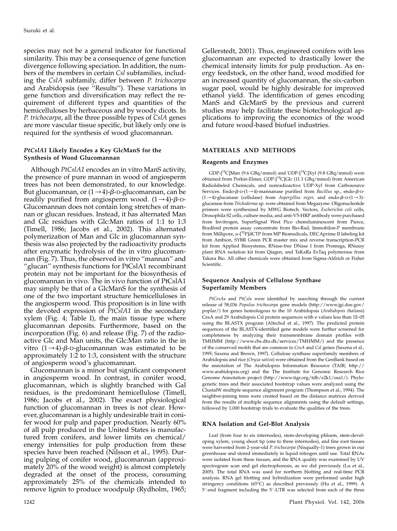species may not be a general indicator for functional similarity. This may be a consequence of gene function divergence following speciation. In addition, the numbers of the members in certain Csl subfamilies, including the CslA subfamily, differ between P. trichocarpa and Arabidopsis (see <sup>"</sup>Results"). These variations in gene function and diversification may reflect the requirement of different types and quantities of the hemicelluloses by herbaceous and by woody dicots. In P. trichocarpa, all the three possible types of CslA genes are more vascular tissue specific, but likely only one is required for the synthesis of wood glucomannan.

## PtCslA1 Likely Encodes a Key GlcManS for the Synthesis of Wood Glucomannan

Although PtCslA1 encodes an in vitro ManS activity, the presence of pure mannan in wood of angiosperm trees has not been demonstrated, to our knowledge. But glucomannan, or  $(1\rightarrow 4)$ - $\beta$ -D-glucomannan, can be readily purified from angiosperm wood.  $(1\rightarrow 4)$ - $\beta$ -D-Glucomannan does not contain long stretches of mannan or glucan residues. Instead, it has alternated Man and Glc residues with Glc:Man ratios of 1:1 to 1:3 (Timell, 1986; Jacobs et al., 2002). This alternated polymerization of Man and Glc in glucomannan synthesis was also projected by the radioactivity products after enzymatic hydrolysis of the in vitro glucomannan (Fig. 7). Thus, the observed in vitro ''mannan'' and ''glucan'' synthesis functions for PtCslA1 recombinant protein may not be important for the biosynthesis of glucomannan in vivo. The in vivo function of PtCslA1 may simply be that of a GlcManS for the synthesis of one of the two important structure hemicelluloses in the angiosperm wood. This proposition is in line with the devoted expression of PtCslA1 in the secondary xylem (Fig. 4; Table I), the main tissue type where glucomannan deposits. Furthermore, based on the incorporation (Fig. 6) and release (Fig. 7) of the radioactive Glc and Man units, the Glc:Man ratio in the in vitro  $(1\rightarrow 4)$ - $\beta$ -D-glucomannan was estimated to be approximately 1:2 to 1:3, consistent with the structure of angiosperm wood's glucomannan.

Glucomannan is a minor but significant component in angiosperm wood. In contrast, in conifer wood, glucomannan, which is slightly branched with Gal residues, is the predominant hemicellulose (Timell, 1986; Jacobs et al., 2002). The exact physiological function of glucomannan in trees is not clear. However, glucomannan is a highly undesirable trait in conifer wood for pulp and paper production. Nearly 60% of all pulp produced in the United States is manufactured from conifers, and lower limits on chemical/ energy intensities for pulp production from these species have been reached (Nilsson et al., 1995). During pulping of conifer wood, glucomannan (approximately 20% of the wood weight) is almost completely degraded at the onset of the process, consuming approximately 25% of the chemicals intended to remove lignin to produce woodpulp (Rydholm, 1965; Gellerstedt, 2001). Thus, engineered conifers with less glucomannan are expected to drastically lower the chemical intensity limits for pulp production. As energy feedstock, on the other hand, wood modified for an increased quantity of glucomannan, the six-carbon sugar pool, would be highly desirable for improved ethanol yield. The identification of genes encoding ManS and GlcManS by the previous and current studies may help facilitate these biotechnological applications to improving the economics of the wood and future wood-based biofuel industries.

## MATERIALS AND METHODS

#### Reagents and Enzymes

GDP-[ $^{14}$ C]Man (9.6 GBq/mmol) and UDP-[ $^{14}$ C]Xyl (9.8 GBq/mmol) were obtained from Perkin-Elmer, GDP-[14C]Glc (11.1 GBq/mmol) from American Radiolabeled Chemicals, and nonradioactive UDP-Xyl from Carbosource Services. Endo- $\beta$ -D-(1  $\rightarrow$  4)-mannanase purified from *Bacillus* sp., endo- $\beta$ -D- $(1\rightarrow 4)$ -glucanase (cellulase) from Aspergillus niger, and endo- $\beta$ -D- $(1\rightarrow 3)$ glucanase from Trichoderma sp. were obtained from Megazyme. Oligonucleotide primers were synthesized by MWG Biotech. Vectors, Escherichia coli cells, Drosophila S2 cells, culture media, and anti-V5-HRP antibody were purchased from Invitrogen, SuperSignal West Pico chemiluminescent from Pierce, Bradford protein assay concentrate from Bio-Rad, Immobilon-P membrane from Millipore,  $\alpha$ -[<sup>32</sup>P]dCTP from MP Biomedicals, DECAprime II labeling kit from Ambion, SYBR Green PCR master mix and reverse transcription-PCR kit from Applied Biosystems, RNase-free DNase I from Promega, RNeasy plant RNA isolation kit from Qiagen, and TaKaRa ExTaq polymerase from Takara Bio. All other chemicals were obtained from Sigma-Aldrich or Fisher Scientific.

## Sequence Analysis of Cellulose Synthase Superfamily Members

PtCesAs and PtCsls were identified by searching through the current release of 58,036 Populus trichocarpa gene models (http://www.jgi.doe.gov/ poplar/) for genes homologous to the 10 Arabidopsis (Arabidopsis thaliana) CesA and 29 Arabidopsis Csl protein sequences with e values less than 1E-05 using the BLASTX program (Altschul et al., 1997). The predicted protein sequences of the BLASTX-identified gene models were further screened for completeness by analyzing their transmembrane domain profiles with TMHMM (http://www.cbs.dtu.dk/services/TMHMM/) and the presence of the conserved motifs that are common to CesA and Csl genes (Saxena et al., 1995; Saxena and Brown, 1997). Cellulose synthase superfamily members of Arabidopsis and rice (Oryza sativa) were obtained from the GenBank based on the annotation of The Arabidopsis Information Resource (TAIR; http:// www.arabidopsis.org) and the The Institute for Genomic Research Rice Genome Annotation project (http://www.tigr.org/tdb/e2k1/osa1/). Phylogenetic trees and their associated bootstrap values were analyzed using the ClustalW multiple sequence alignment program (Thompson et al., 1994). The neighbor-joining trees were created based on the distance matrices derived from the results of multiple sequence alignments using the default settings, followed by 1,000 bootstrap trials to evaluate the qualities of the trees.

#### RNA Isolation and Gel-Blot Analysis

Leaf (from four to six internodes), stem-developing phloem, stem-developing xylem, young shoot tip (one to three internodes), and fine root tissues were harvested from 2-year-old P. trichocarpa (Nisqually-1) trees grown in our greenhouse and stored immediately in liquid nitrogen until use. Total RNAs were isolated from these tissues, and the RNA quality was examined by UV spectrogram scan and gel electrophoresis, as we did previously (Lu et al., 2005). The total RNA was used for northern blotting and real-time PCR analysis. RNA gel blotting and hybridization were performed under high stringency conditions (65C) as described previously (Hu et al., 1999). A 5'-end fragment including the 5'-UTR was selected from each of the three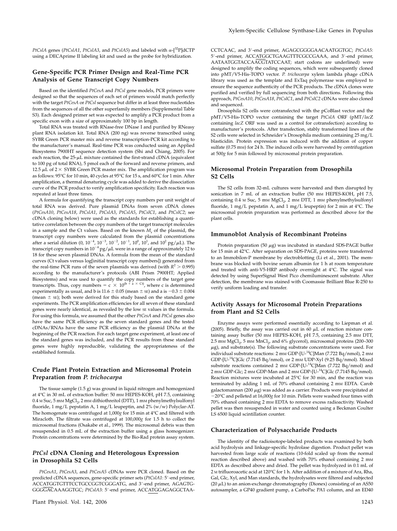PtCslA genes (PtCslA1, PtCslA3, and PtCslA5) and labeled with  $\alpha$ -[<sup>32</sup>P]dCTP using a DECAprime II labeling kit and used as the probe for hybridization.

## Gene-Specific PCR Primer Design and Real-Time PCR Analysis of Gene Transcript Copy Numbers

Based on the identified PtCesA and PtCsl gene models, PCR primers were designed so that the sequences of each set of primers would match perfectly with the target PtCesA or PtCsl sequence but differ in at least three nucleotides from the sequences of all the other superfamily members (Supplemental Table S3). Each designed primer set was expected to amplify a PCR product from a specific exon with a size of approximately 100 bp in length.

Total RNA was treated with RNase-free DNase I and purified by RNeasy plant RNA isolation kit. Total RNA (200 ng) was reverse transcribed using SYBR Green PCR master mix and reverse transcription-PCR kit according to the manufacturer's manual. Real-time PCR was conducted using an Applied Biosystems 7900HT sequence detection system (Shi and Chiang, 2005). For each reaction, the  $25-\mu L$  mixture contained the first-strand cDNA (equivalent to 100 pg of total RNA), 5 pmol each of the forward and reverse primers, and 12.5  $\mu$ L of 2  $\times$  SYBR Green PCR master mix. The amplification program was as follows:  $95^{\circ}$ C for 10 min, 40 cycles at  $95^{\circ}$ C for 15 s, and  $60^{\circ}$ C for 1 min. After amplification, a thermal denaturing cycle was added to derive the dissociation curve of the PCR product to verify amplification specificity. Each reaction was repeated at least three times.

A formula for quantifying the transcript copy numbers per unit weight of total RNA was derived. Pure plasmid DNAs from seven cDNA clones (PtCesA10, PtCesA18, PtCslA1, PtCslA3, PtCslA5, PtCslC1, and PtCslC2; see cDNA cloning below) were used as the standards for establishing a quantitative correlation between the copy numbers of the target transcript molecules in a sample and the Ct values. Based on the known  $M<sub>r</sub>$  of the plasmid, the transcript copy numbers were calculated from the plasmid concentrations after a serial dilution (0,  $10^{-4}$ ,  $10^{-3}$ ,  $10^{-2}$ ,  $10^{-1}$ ,  $10^{0}$ ,  $10^{1}$ , and  $10^{2}$  pg/ $\mu$ L). The transcript copy numbers in  $10^{-4}\,\mathrm{pg}/\mu\mathrm{L}$  were in a range of approximately 12 to 18 for these seven plasmid DNAs. A formula from the mean of the standard curves (Ct values versus log[initial transcript copy numbers]) generated from the real-time PCR runs of the seven plasmids was derived (with  $R^2 > 0.995$ ) according to the manufacturer's protocols (ABI Prism 7900HT; Applied Biosystems) and was used to quantify the copy numbers of the target gene transcripts. Thus, copy numbers =  $c \times 10^{(b + a \times Ci)}$ , where c is determined experimentally as usual, and b is 11.6  $\pm$  0.05 (mean  $\pm$  sE) and a is  $-0.3 \pm 0.004$ (mean  $\pm$  sE); both were derived for this study based on the standard gene experiments. The PCR amplification efficiencies for all seven of these standard genes were nearly identical, as revealed by the low SE values in the formula. For using this formula, we assumed that the other PtCesA and PtCsl genes also have the same PCR efficiency as the seven standard genes and the tested cDNAs/RNAs have the same PCR efficiency as the plasmid DNAs at the beginning of the PCR reaction. For each target gene experiment, at least one of the standard genes was included, and the PCR results from these standard genes were highly reproducible, validating the appropriateness of the established formula.

## Crude Plant Protein Extraction and Microsomal Protein Preparation from P. trichocarpa

The tissue sample (1.5 g) was ground in liquid nitrogen and homogenized at 4°C in 30 mL of extraction buffer: 50 mm HEPES-KOH, pH 7.5, containing  $0.4$  M Suc,  $5$  mM  $MgCl<sub>2</sub>$ ,  $2$  mM dithiothreitol (DTT),  $1$  mM phenylmethylsulfonyl fluoride, 1 mg/L pepstatin A, 1 mg/L leupeptin, and 2% (w/w) Polyclar-AT. The homogenate was centrifuged at  $1,000g$  for 15 min at  $4^{\circ}$ C and filtered with Miracloth. The filtrate was centrifuged at 100,000g for 1.5 h to collect the microsomal fractions (Osakabe et al., 1999). The microsomal debris was then resuspended in 0.5 mL of the extraction buffer using a glass homogenizer. Protein concentrations were determined by the Bio-Rad protein assay system.

## PtCsl cDNA Cloning and Heterologous Expression in Drosophila S2 Cells

PtCesA1, PtCesA3, and PtCesA5 cDNAs were PCR cloned. Based on the predicted cDNA sequences, gene-specific primer sets (PtCslA1: 5'-end primer, ACCATGGTGTTTCCTGCCGGTCGGGATG, and 3'-end primer, AGAGTG-GGGGACAAAGGTGC; PtCslA3: 5'-end primer, ACCATGGAGAGGCTAA- CCTCAAC, and 3'-end primer, AGAGCGGGGAACAATGGTGC; PtCslA5: 5'-end primer, ACCATGGCTGAAGTTTCGCCGAAA, and 3'-end primer, AATAATGGTACCAACGTATCCAAT; start codons are underlined) were designed to amplify the coding sequences, which were subsequently cloned into pMT/V5-His-TOPO vector. P. trichocarpa xylem lambda phage cDNA library was used as the template and ExTaq polymerase was employed to ensure the sequence authenticity of the PCR products. The cDNA clones were purified and verified by full sequencing from both directions. Following this approach, PtCesA10, PtCesA18, PtCslC1, and PtCslC2 cDNAs were also cloned and sequenced.

Drosophila S2 cells were cotransfected with the pCoBlast vector and the pMT/V5-His-TOPO vector containing the target PtCslA ORF (pMT/lacZ containing lacZ ORF was used as a control for cotransfection) according to manufacturer's protocols. After transfection, stably transformed lines of the S2 cells were selected in Schneider's Drosophila medium containing 25 mg/L blasticidin. Protein expression was induced with the addition of copper sulfate (0.75 mM) for 24 h. The induced cells were harvested by centrifugation at 500g for 5 min followed by microsomal protein preparation.

## Microsomal Protein Preparation from Drosophila S2 Cells

The S2 cells from 32-mL cultures were harvested and then disrupted by sonication in 7 mL of an extraction buffer (50 mm HEPES-KOH, pH 7.5, containing 0.4 M Suc, 5 mM MgCl<sub>2</sub>, 2 mM DTT, 1 mM phenylmethylsulfonyl fluoride, 1 mg/L pepstatin A, and 1 mg/L leupeptin) for 2 min at 4°C. The microsomal protein preparation was performed as described above for the plant cells.

#### Immunoblot Analysis of Recombinant Proteins

Protein preparation (50  $\mu$ g) was incubated in standard SDS-PAGE buffer for 15 min at 42°C. After separation on SDS-PAGE, proteins were transferred to an Immobilon-P membrane by electroblotting (Li et al., 2001). The membrane was blocked with bovine serum albumin for 1 h at room temperature and treated with anti-V5-HRP antibody overnight at  $4^{\circ}$ C. The signal was detected by using SuperSignal West Pico chemiluminescent substrate. After detection, the membrane was stained with Coomassie Brilliant Blue R-250 to verify uniform loading and transfer.

## Activity Assays for Microsomal Protein Preparations from Plant and S2 Cells

Enzyme assays were performed essentially according to Liepman et al. (2005). Briefly, the assay was carried out in 60  $\mu$ L of reaction mixture containing assay buffer (50 mm HEPES-KOH, pH 7.5, containing 2.5 mm DTT, 2.5 mm MgCl<sub>2</sub>, 5 mm MnCl<sub>2</sub>, and 6% glycerol), microsomal proteins (200–300  $\mu$ g), and substrate(s). The following substrate concentrations were used. For individual substrate reactions: 2 mM GDP-[U-<sup>14</sup>C]Man (7.722 Bq/nmol), 2 mM GDP-[U-<sup>14</sup>C]Glc (7.7145 Bq/nmol), or 2 mm UDP-Xyl (9.25 Bq/nmol). Mixed substrate reactions contained 2 mm GDP-[U- $^{14}$ C]Man (7.722 Bq/nmol) and 2 mm GDP-Glc; 2 mm GDP-Man and 2 mm GDP-[U-<sup>14</sup>C]Glc (7.7145 Bq/nmol). Reaction mixtures were incubated at 25°C for 30 min, and the reaction was terminated by adding 1 mL of 70% ethanol containing 2 mm EDTA. Carob galactomannan (200  $\mu$ g) was added as a carrier. Products were precipitated at -20°C and pelleted at 16,000g for 10 min. Pellets were washed four times with 70% ethanol containing 2 mM EDTA to remove excess radioactivity. Washed pellet was then resuspended in water and counted using a Beckman Coulter LS 6500 liquid scintillation counter.

#### Characterization of Polysaccharide Products

The identity of the radioisotope-labeled products was examined by both acid hydrolysis and linkage-specific hydrolase digestion. Product pellet was harvested from large scale of reactions (10-fold scaled up from the normal reaction described above) and washed with 70% ethanol containing 2 mm EDTA as described above and dried. The pellet was hydrolyzed in 0.1 mL of 2 M trifluoroacetic acid at 120 $^{\circ}$ C for 1 h. After addition of a mixture of Ara, Rha, Gal, Glc, Xyl, and Man standards, the hydrolysates were filtered and subjected (20  $\mu$ L) to an anion-exchange chromatography (Dionex) consisting of an AS50 autosampler, a GP40 gradient pump, a CarboPac PA1 column, and an ED40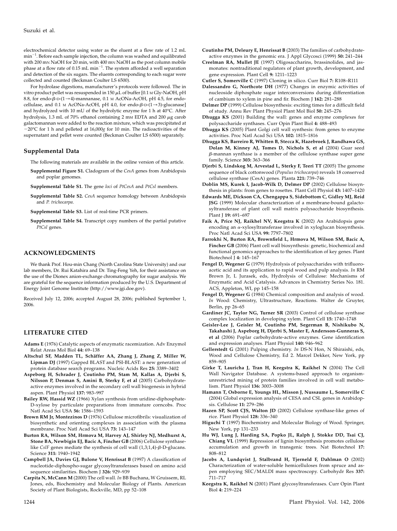electrochemical detector using water as the eluent at a flow rate of 1.2 mL  $\text{min}^{-1}$ . Before each sample injection, the column was washed and equilibrated with 200 mN NaOH for 20 min, with 400 mN NaOH as the post column mobile phase at a flow rate of  $0.15 \text{ mL min}^{-1}$ . The system afforded a well separation and detection of the six sugars. The eluents corresponding to each sugar were collected and counted (Beckman Coulter LS 6500).

For hydrolase digestions, manufacturer's protocols were followed. The in vitro product pellet was resuspended in 150  $\mu$ L of buffer [0.1 M Gly-NaOH, pH 8.8, for endo- $\beta$ -D-(1 $\rightarrow$ 4)-mannanase, 0.1 M AcONa-AcOH, pH 4.5, for endocellulase, and 0.1 M AcONa-AcOH, pH 4.0, for endo- $\beta$ -D- $(1\rightarrow 3)$ -glucanase] and hydrolyzed with 10 mU of the hydrolytic enzyme for 1 h at 40°C. After hydrolysis, 1.3 mL of 70% ethanol containing 2 mm EDTA and 200  $\mu$ g carob galactomannan were added to the reaction mixture, which was precipitated at  $-20$ °C for 1 h and pelleted at 16,000g for 10 min. The radioactivities of the supernatant and pellet were counted (Beckman Coulter LS 6500) separately.

#### Supplemental Data

The following materials are available in the online version of this article.

Supplemental Figure S1. Cladogram of the CesA genes from Arabidopsis and poplar genomes.

Supplemental Table S1. The gene loci of PtCesA and PtCsl members.

Supplemental Table S2. CesA sequence homology between Arabidopsis and P. trichocarpa.

Supplemental Table S3. List of real-time PCR primers.

Supplemental Table S4. Transcript copy numbers of the partial putative PtCsl genes.

#### ACKNOWLEDGMENTS

We thank Prof. Hou-min Chang (North Carolina State University) and our lab members, Dr. Rui Katahira and Dr. Ting-Feng Yeh, for their assistance on the use of the Dionex anion-exchange chromatography for sugar analysis. We are grateful for the sequence information produced by the U.S. Department of Energy Joint Genome Institute (http://www.jgi.doe.gov).

Received July 12, 2006; accepted August 28, 2006; published September 1, 2006.

#### LITERATURE CITED

- Adams E (1976) Catalytic aspects of enzymatic racemization. Adv Enzymol Relat Areas Mol Biol 44: 69–138
- Altschul SF, Madden TL, Schäffer AA, Zhang J, Zhang Z, Miller W, Lipman DJ (1997) Gapped BLAST and PSI-BLAST: a new generation of protein database search programs. Nucleic Acids Res 25: 3389–3402
- Aspeborg H, Schrader J, Coutinho PM, Stam M, Kallas A, Djerbi S, Nilsson P, Denman S, Amini B, Sterky F, et al (2005) Carbohydrateactive enzymes involved in the secondary cell wall biogenesis in hybrid aspen. Plant Physiol 137: 983–997
- Bailey RW, Hassid WZ (1966) Xylan synthesis from uridine-diphosphate-D-xylose by particulate preparations from immature corncobs. Proc Natl Acad Sci USA 56: 1586–1593
- Brown RM Jr, Montezinos D (1976) Cellulose microfibrils: visualization of biosynthetic and orienting complexes in association with the plasma membrane. Proc Natl Acad Sci USA 73: 143–147
- Burton RA, Wilson SM, Hrmova M, Harvey AJ, Shirley NJ, Medhurst A, Stone BA, Newbigin EJ, Bacic A, Fincher GB (2006) Cellulose synthaselike CslF genes mediate the synthesis of cell wall  $(1,3;1,4)$ - $\beta$ -D-glucans. Science 311: 1940–1942
- Campbell JA, Davies GJ, Bulone V, Henrissat B (1997) A classification of nucleotide-diphospho-sugar glycosyltransferases based on amino acid sequence similarities. Biochem J 326: 929–939
- Carpita N, McCann M (2000) The cell wall. In BB Buchana, W Gruissem, RL Jones, eds, Biochemistry and Molecular Biology of Plants. American Society of Plant Biologists, Rockville, MD, pp 52–108
- Coutinho PM, Deleury E, Henrissat B (2003) The families of carbohydrateactive enzymes in the genomic era. J Appl Glycosci (1999) 50: 241–244
- Creelman RA, Mullet JE (1997) Oligosaccharins, brassinolides, and jasmonates: nontraditional regulators of plant growth, development, and gene expression. Plant Cell 9: 1211–1223
- Cutler S, Somerville C (1997) Cloning in silico. Curr Biol 7: R108–R111
- Dalessandro G, Northcote DH (1977) Changes in enzymic activities of nucleoside diphosphate sugar interconversions during differentiation of cambium to xylem in pine and fir. Biochem J 162: 281–288
- Delmer DP (1999) Cellulose biosynthesis: exciting times for a difficult field of study. Annu Rev Plant Physiol Plant Mol Biol 50: 245–276
- Dhugga KS (2001) Building the wall: genes and enzyme complexes for polysaccharide synthases. Curr Opin Plant Biol 4: 488–493
- Dhugga KS (2005) Plant Golgi cell wall synthesis: from genes to enzyme activities. Proc Natl Acad Sci USA 102: 1815–1816
- Dhugga KS, Barreiro R, Whitten B, Stecca K, Hazebroek J, Randhawa GS, Dolan M, Kinney AJ, Tomes D, Nichols S, et al (2004) Guar seed  $\beta$ -mannan synthase is a member of the cellulose synthase super gene family. Science 303: 363–366
- Djerbi S, Lindskog M, Arvestad L, Sterky F, Teeri TT (2005) The genome sequence of black cottonwood (Populus trichocarpa) reveals 18 conserved cellulose synthase (CesA) genes. Planta 221: 739–746
- Doblin MS, Kurek I, Jacob-Wilk D, Delmer DP (2002) Cellulose biosynthesis in plants: from genes to rosettes. Plant Cell Physiol 43: 1407–1420
- Edwards ME, Dickson CA, Chengappa S, Sidebottom C, Gidley MJ, Reid JSG (1999) Molecular characterization of a membrane-bound galactosyltransferase of plant cell wall matrix polysaccharide biosynthesis. Plant J 19: 691-697
- Faik A, Price NJ, Raikhel NV, Keegstra K (2002) An Arabidopsis gene encoding an a-xylosyltransferase involved in xyloglucan biosynthesis. Proc Natl Acad Sci USA 99: 7797–7802
- Farrokhi N, Burton RA, Brownfield L, Hrmova M, Wilson SM, Bacic A, Fincher GB (2006) Plant cell wall biosynthesis: genetic, biochemical and functional genomics approaches to the identification of key genes. Plant Biotechnol J 4: 145–167
- Fengel D, Wegener G (1979) Hydrolysis of polysaccharides with trifluoroacetic acid and its application to rapid wood and pulp analysis. In RM Brown Jr, L Jurasek, eds, Hydrolysis of Cellulose: Mechanisms of Enzymatic and Acid Catalysis. Advances in Chemistry Series No. 181. ACS, Appleton, WI, pp 145–158
- Fengel D, Wegener G (1984) Chemical composition and analysis of wood. In Wood: Chemistry, Ultrastructure, Reactions. Walter de Gruyter, Berlin, pp 26–65
- Gardiner JC, Taylor NG, Turner SR (2003) Control of cellulose synthase complex localization in developing xylem. Plant Cell 15: 1740–1748
- Geisler-Lee J, Geisler M, Coutinho PM, Segerman B, Nishikubo N, Takahashi J, Aspeborg H, Djerbi S, Master E, Andersson-Gunneras S, et al (2006) Poplar carbohydrate-active enzymes. Gene identification and expression analyses. Plant Physiol 140: 946–962
- Gellerstedt G (2001) Pulping chemistry. In DS-N Hon, N Shiraishi, eds, Wood and Cellulose Chemistry, Ed 2. Marcel Dekker, New York, pp 859–905
- Girke T, Lauricha J, Tran H, Keegstra K, Raikhel N (2004) The Cell Wall Navigator Database. A systems-based approach to organismunrestricted mining of protein families involved in cell wall metabolism. Plant Physiol 136: 3003–3008
- Hamann T, Osborne E, Youngs HL, Misson J, Nussaume L, Somerville C (2004) Global expression analysis of CESA and CSL genes in Arabidopsis. Cellulose 11: 279–286
- Hazen SP, Scott CJS, Walton JD (2002) Cellulose synthase-like genes of rice. Plant Physiol 128: 336–340
- Higuchi T (1997) Biochemistry and Molecular Biology of Wood. Springer, New York, pp 131–233
- Hu WJ, Lung J, Harding SA, Popko JL, Ralph J, Stokke DD, Tsai CJ, Chiang VL (1999) Repression of lignin biosynthesis promotes cellulose accumulation and growth in transgenic trees. Nat Biotechnol 17: 808–812
- Jacobs A, Lundqvist J, Stalbrand H, Tjerneld F, Dahlman O (2002) Characterization of water-soluble hemicelluloses from spruce and aspen employing SEC/MALDI mass spectroscopy. Carbohydr Res 337: 711–717
- Keegstra K, Raikhel N (2001) Plant glycosyltransferases. Curr Opin Plant Biol 4: 219–224